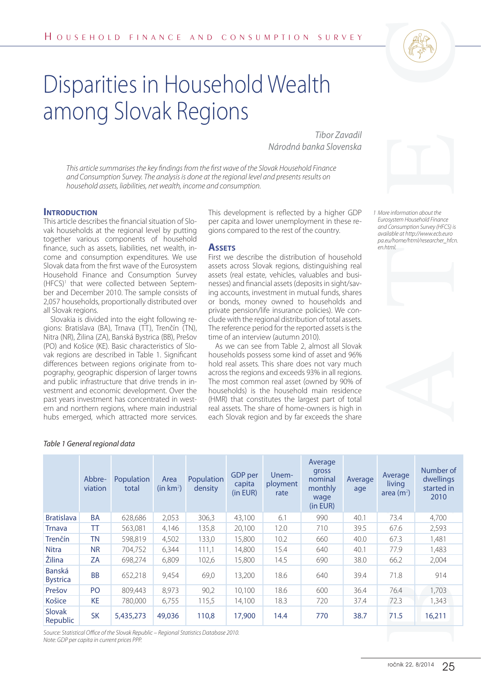

# Disparities in Household Wealth among Slovak Regions

### **INTRODUCTION**

# **Assets**







|                                                                                                                                                                                                                                                                                                                                                                                                                                                                                                                                                                                                                                                                                                                                                                                                                                                                                                                                                                                                                                                                                                                                                                                                                                                                                                                                                                                                                                                                                                                                                                                                                                                                                                                                                                                                                                                                                                                                                                                                                                                                                                                                                                                                                                                                                                                                                                                                   |                   | HOUSEHOLD FINANCE AND CONSUMPTION SURVEY                                               |                               |                       |                               |                           |                                                            |                                                                                                                                                                                      |                                   |                                              |
|---------------------------------------------------------------------------------------------------------------------------------------------------------------------------------------------------------------------------------------------------------------------------------------------------------------------------------------------------------------------------------------------------------------------------------------------------------------------------------------------------------------------------------------------------------------------------------------------------------------------------------------------------------------------------------------------------------------------------------------------------------------------------------------------------------------------------------------------------------------------------------------------------------------------------------------------------------------------------------------------------------------------------------------------------------------------------------------------------------------------------------------------------------------------------------------------------------------------------------------------------------------------------------------------------------------------------------------------------------------------------------------------------------------------------------------------------------------------------------------------------------------------------------------------------------------------------------------------------------------------------------------------------------------------------------------------------------------------------------------------------------------------------------------------------------------------------------------------------------------------------------------------------------------------------------------------------------------------------------------------------------------------------------------------------------------------------------------------------------------------------------------------------------------------------------------------------------------------------------------------------------------------------------------------------------------------------------------------------------------------------------------------------|-------------------|----------------------------------------------------------------------------------------|-------------------------------|-----------------------|-------------------------------|---------------------------|------------------------------------------------------------|--------------------------------------------------------------------------------------------------------------------------------------------------------------------------------------|-----------------------------------|----------------------------------------------|
|                                                                                                                                                                                                                                                                                                                                                                                                                                                                                                                                                                                                                                                                                                                                                                                                                                                                                                                                                                                                                                                                                                                                                                                                                                                                                                                                                                                                                                                                                                                                                                                                                                                                                                                                                                                                                                                                                                                                                                                                                                                                                                                                                                                                                                                                                                                                                                                                   |                   | Disparities in Household Wealth                                                        |                               |                       |                               |                           |                                                            |                                                                                                                                                                                      |                                   |                                              |
|                                                                                                                                                                                                                                                                                                                                                                                                                                                                                                                                                                                                                                                                                                                                                                                                                                                                                                                                                                                                                                                                                                                                                                                                                                                                                                                                                                                                                                                                                                                                                                                                                                                                                                                                                                                                                                                                                                                                                                                                                                                                                                                                                                                                                                                                                                                                                                                                   |                   | among Slovak Regions                                                                   |                               |                       |                               |                           |                                                            |                                                                                                                                                                                      |                                   |                                              |
|                                                                                                                                                                                                                                                                                                                                                                                                                                                                                                                                                                                                                                                                                                                                                                                                                                                                                                                                                                                                                                                                                                                                                                                                                                                                                                                                                                                                                                                                                                                                                                                                                                                                                                                                                                                                                                                                                                                                                                                                                                                                                                                                                                                                                                                                                                                                                                                                   |                   | Tibor Zavadil                                                                          |                               |                       |                               |                           |                                                            |                                                                                                                                                                                      |                                   |                                              |
|                                                                                                                                                                                                                                                                                                                                                                                                                                                                                                                                                                                                                                                                                                                                                                                                                                                                                                                                                                                                                                                                                                                                                                                                                                                                                                                                                                                                                                                                                                                                                                                                                                                                                                                                                                                                                                                                                                                                                                                                                                                                                                                                                                                                                                                                                                                                                                                                   |                   | Národná banka Slovenska                                                                |                               |                       |                               |                           |                                                            |                                                                                                                                                                                      |                                   |                                              |
| This article summarises the key findings from the first wave of the Slovak Household Finance<br>and Consumption Survey. The analysis is done at the regional level and presents results on<br>household assets, liabilities, net wealth, income and consumption.                                                                                                                                                                                                                                                                                                                                                                                                                                                                                                                                                                                                                                                                                                                                                                                                                                                                                                                                                                                                                                                                                                                                                                                                                                                                                                                                                                                                                                                                                                                                                                                                                                                                                                                                                                                                                                                                                                                                                                                                                                                                                                                                  |                   |                                                                                        |                               |                       |                               |                           |                                                            |                                                                                                                                                                                      |                                   |                                              |
| <b>INTRODUCTION</b><br>This development is reflected by a higher GDP<br>This article describes the financial situation of Slo-<br>per capita and lower unemployment in these re-<br>gions compared to the rest of the country.<br>vak households at the regional level by putting<br>together various components of household<br><b>ASSETS</b><br>finance, such as assets, liabilities, net wealth, in-<br>First we describe the distribution of household<br>come and consumption expenditures. We use<br>Slovak data from the first wave of the Eurosystem<br>assets across Slovak regions, distinguishing real<br>Household Finance and Consumption Survey<br>assets (real estate, vehicles, valuables and busi-<br>nesses) and financial assets (deposits in sight/sav-<br>(HFCS) <sup>1</sup> that were collected between Septem-<br>ber and December 2010. The sample consists of<br>ing accounts, investment in mutual funds, shares<br>2,057 households, proportionally distributed over<br>or bonds, money owned to households and<br>all Slovak regions.<br>private pension/life insurance policies). We con-<br>Slovakia is divided into the eight following re-<br>clude with the regional distribution of total assets.<br>gions: Bratislava (BA), Trnava (TT), Trenčín (TN),<br>The reference period for the reported assets is the<br>Nitra (NR), Žilina (ZA), Banská Bystrica (BB), Prešov<br>time of an interview (autumn 2010).<br>As we can see from Table 2, almost all Slovak<br>(PO) and Košice (KE). Basic characteristics of Slo-<br>vak regions are described in Table 1. Significant<br>households possess some kind of asset and 96%<br>hold real assets. This share does not vary much<br>differences between regions originate from to-<br>pography, geographic dispersion of larger towns<br>across the regions and exceeds 93% in all regions.<br>and public infrastructure that drive trends in in-<br>The most common real asset (owned by 90% of<br>vestment and economic development. Over the<br>households) is the household main residence<br>past years investment has concentrated in west-<br>(HMR) that constitutes the largest part of total<br>real assets. The share of home-owners is high in<br>ern and northern regions, where main industrial<br>each Slovak region and by far exceeds the share<br>hubs emerged, which attracted more services. |                   |                                                                                        |                               |                       |                               |                           |                                                            | 1 More information about the<br>Eurosystem Household Finance<br>and Consumption Survey (HFCS) is<br>available at http://www.ecb.euro<br>pa.eu/home/html/researcher_hfcn.<br>en.html. |                                   |                                              |
| Table 1 General regional data                                                                                                                                                                                                                                                                                                                                                                                                                                                                                                                                                                                                                                                                                                                                                                                                                                                                                                                                                                                                                                                                                                                                                                                                                                                                                                                                                                                                                                                                                                                                                                                                                                                                                                                                                                                                                                                                                                                                                                                                                                                                                                                                                                                                                                                                                                                                                                     |                   |                                                                                        |                               |                       |                               |                           |                                                            |                                                                                                                                                                                      |                                   |                                              |
|                                                                                                                                                                                                                                                                                                                                                                                                                                                                                                                                                                                                                                                                                                                                                                                                                                                                                                                                                                                                                                                                                                                                                                                                                                                                                                                                                                                                                                                                                                                                                                                                                                                                                                                                                                                                                                                                                                                                                                                                                                                                                                                                                                                                                                                                                                                                                                                                   | Abbre-<br>viation | Population<br>total                                                                    | Area<br>(in km <sup>2</sup> ) | Population<br>density | GDP per<br>capita<br>(in EUR) | Unem-<br>ployment<br>rate | Average<br>gross<br>nominal<br>monthly<br>wage<br>(in EUR) | Average<br>age                                                                                                                                                                       | Average<br>living<br>area $(m^2)$ | Number of<br>dwellings<br>started in<br>2010 |
| <b>Bratislava</b>                                                                                                                                                                                                                                                                                                                                                                                                                                                                                                                                                                                                                                                                                                                                                                                                                                                                                                                                                                                                                                                                                                                                                                                                                                                                                                                                                                                                                                                                                                                                                                                                                                                                                                                                                                                                                                                                                                                                                                                                                                                                                                                                                                                                                                                                                                                                                                                 | <b>BA</b>         | 628,686                                                                                | 2,053                         | 306,3                 | 43,100                        | 6.1                       | 990                                                        | 40.1                                                                                                                                                                                 | 73.4                              | 4,700                                        |
| <b>Trnava</b><br>Trenčín                                                                                                                                                                                                                                                                                                                                                                                                                                                                                                                                                                                                                                                                                                                                                                                                                                                                                                                                                                                                                                                                                                                                                                                                                                                                                                                                                                                                                                                                                                                                                                                                                                                                                                                                                                                                                                                                                                                                                                                                                                                                                                                                                                                                                                                                                                                                                                          | TT<br><b>TN</b>   | 563,081<br>598,819                                                                     | 4,146<br>4,502                | 135,8<br>133,0        | 20,100<br>15,800              | 12.0<br>10.2              | 710<br>660                                                 | 39.5<br>40.0                                                                                                                                                                         | 67.6<br>67.3                      | 2,593<br>1,481                               |
| <b>Nitra</b>                                                                                                                                                                                                                                                                                                                                                                                                                                                                                                                                                                                                                                                                                                                                                                                                                                                                                                                                                                                                                                                                                                                                                                                                                                                                                                                                                                                                                                                                                                                                                                                                                                                                                                                                                                                                                                                                                                                                                                                                                                                                                                                                                                                                                                                                                                                                                                                      | <b>NR</b>         | 704,752                                                                                | 6,344                         | 111,1                 | 14,800                        | 15.4                      | 640                                                        | 40.1                                                                                                                                                                                 | 77.9                              | 1,483                                        |
| Žilina                                                                                                                                                                                                                                                                                                                                                                                                                                                                                                                                                                                                                                                                                                                                                                                                                                                                                                                                                                                                                                                                                                                                                                                                                                                                                                                                                                                                                                                                                                                                                                                                                                                                                                                                                                                                                                                                                                                                                                                                                                                                                                                                                                                                                                                                                                                                                                                            | ZA                | 698,274                                                                                | 6,809                         | 102,6                 | 15,800                        | 14.5                      | 690                                                        | 38.0                                                                                                                                                                                 | 66.2                              | 2,004                                        |
| Banská                                                                                                                                                                                                                                                                                                                                                                                                                                                                                                                                                                                                                                                                                                                                                                                                                                                                                                                                                                                                                                                                                                                                                                                                                                                                                                                                                                                                                                                                                                                                                                                                                                                                                                                                                                                                                                                                                                                                                                                                                                                                                                                                                                                                                                                                                                                                                                                            | <b>BB</b>         | 652,218                                                                                | 9,454                         | 69,0                  | 13,200                        | 18.6                      | 640                                                        | 39.4                                                                                                                                                                                 | 71.8                              | 914                                          |
| <b>Bystrica</b>                                                                                                                                                                                                                                                                                                                                                                                                                                                                                                                                                                                                                                                                                                                                                                                                                                                                                                                                                                                                                                                                                                                                                                                                                                                                                                                                                                                                                                                                                                                                                                                                                                                                                                                                                                                                                                                                                                                                                                                                                                                                                                                                                                                                                                                                                                                                                                                   |                   |                                                                                        |                               |                       |                               |                           |                                                            |                                                                                                                                                                                      |                                   |                                              |
| Prešov<br>Košice                                                                                                                                                                                                                                                                                                                                                                                                                                                                                                                                                                                                                                                                                                                                                                                                                                                                                                                                                                                                                                                                                                                                                                                                                                                                                                                                                                                                                                                                                                                                                                                                                                                                                                                                                                                                                                                                                                                                                                                                                                                                                                                                                                                                                                                                                                                                                                                  | PO<br>KE          | 809,443<br>780,000                                                                     | 8,973                         | 90,2                  | 10,100                        | 18.6<br>18.3              | 600<br>720                                                 | 36.4                                                                                                                                                                                 | 76.4<br>72.3                      | 1,703                                        |
| Slovak                                                                                                                                                                                                                                                                                                                                                                                                                                                                                                                                                                                                                                                                                                                                                                                                                                                                                                                                                                                                                                                                                                                                                                                                                                                                                                                                                                                                                                                                                                                                                                                                                                                                                                                                                                                                                                                                                                                                                                                                                                                                                                                                                                                                                                                                                                                                                                                            | <b>SK</b>         | 5,435,273                                                                              | 6,755<br>49,036               | 115,5<br>110,8        | 14,100<br>17,900              | 14.4                      | 770                                                        | 37.4<br>38.7                                                                                                                                                                         | 71.5                              | 1,343<br>16,211                              |
| Republic<br>Note: GDP per capita in current prices PPP.                                                                                                                                                                                                                                                                                                                                                                                                                                                                                                                                                                                                                                                                                                                                                                                                                                                                                                                                                                                                                                                                                                                                                                                                                                                                                                                                                                                                                                                                                                                                                                                                                                                                                                                                                                                                                                                                                                                                                                                                                                                                                                                                                                                                                                                                                                                                           |                   | Source: Statistical Office of the Slovak Republic - Regional Statistics Database 2010. |                               |                       |                               |                           |                                                            |                                                                                                                                                                                      | ročník 22, 8/2014                 | 25                                           |

#### *Table 1 General regional data*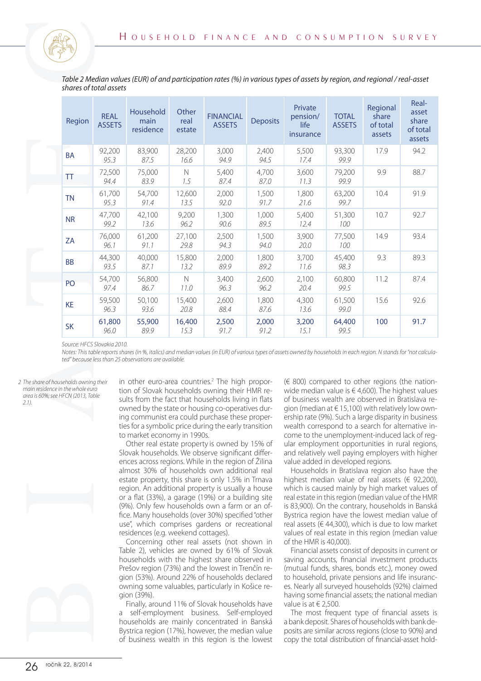|                                    | shares of total assets       | Table 2 Median values (EUR) of and participation rates (%) in various types of assets by region, and regional / real-asset                                                                                                                                                                                                                                                                                                                                                                                                                                                                                                                                                                                                                                                                                                                                                                                                                                                                                                                                                                                                                |                         |                                               |                 |                                                                                                                                                                                                                                                                                                                                                                                                                                                                                                                                                                                                                                                                                                                                                                                                                                                                                                                                                                                                                                                         |                               |                                                                                                     |                                               |
|------------------------------------|------------------------------|-------------------------------------------------------------------------------------------------------------------------------------------------------------------------------------------------------------------------------------------------------------------------------------------------------------------------------------------------------------------------------------------------------------------------------------------------------------------------------------------------------------------------------------------------------------------------------------------------------------------------------------------------------------------------------------------------------------------------------------------------------------------------------------------------------------------------------------------------------------------------------------------------------------------------------------------------------------------------------------------------------------------------------------------------------------------------------------------------------------------------------------------|-------------------------|-----------------------------------------------|-----------------|---------------------------------------------------------------------------------------------------------------------------------------------------------------------------------------------------------------------------------------------------------------------------------------------------------------------------------------------------------------------------------------------------------------------------------------------------------------------------------------------------------------------------------------------------------------------------------------------------------------------------------------------------------------------------------------------------------------------------------------------------------------------------------------------------------------------------------------------------------------------------------------------------------------------------------------------------------------------------------------------------------------------------------------------------------|-------------------------------|-----------------------------------------------------------------------------------------------------|-----------------------------------------------|
| Region                             | <b>REAL</b><br><b>ASSETS</b> | Household<br>main<br>residence                                                                                                                                                                                                                                                                                                                                                                                                                                                                                                                                                                                                                                                                                                                                                                                                                                                                                                                                                                                                                                                                                                            | Other<br>real<br>estate | <b>FINANCIAL</b><br><b>ASSETS</b>             | <b>Deposits</b> | Private<br>pension/<br>life<br>insurance                                                                                                                                                                                                                                                                                                                                                                                                                                                                                                                                                                                                                                                                                                                                                                                                                                                                                                                                                                                                                | <b>TOTAL</b><br><b>ASSETS</b> | Regional<br>share<br>of total<br>assets                                                             | Real-<br>asset<br>share<br>of total<br>assets |
| <b>BA</b>                          | 92,200<br>95.3               | 83,900<br>87.5                                                                                                                                                                                                                                                                                                                                                                                                                                                                                                                                                                                                                                                                                                                                                                                                                                                                                                                                                                                                                                                                                                                            | 28,200<br>16.6          | 3,000<br>94.9                                 | 2,400<br>94.5   | 5,500<br>17.4                                                                                                                                                                                                                                                                                                                                                                                                                                                                                                                                                                                                                                                                                                                                                                                                                                                                                                                                                                                                                                           | 93,300<br>99.9                | 17.9                                                                                                | 94.2                                          |
| ΤT                                 | 72,500<br>94.4               | 75,000<br>83.9                                                                                                                                                                                                                                                                                                                                                                                                                                                                                                                                                                                                                                                                                                                                                                                                                                                                                                                                                                                                                                                                                                                            | $\hbox{N}$<br>1.5       | 5,400<br>87.4                                 | 4,700<br>87.0   | 3,600<br>11.3                                                                                                                                                                                                                                                                                                                                                                                                                                                                                                                                                                                                                                                                                                                                                                                                                                                                                                                                                                                                                                           | 79,200<br>99.9                | 9.9                                                                                                 | 88.7                                          |
| <b>TN</b>                          | 61,700<br>95.3               | 54,700<br>91.4                                                                                                                                                                                                                                                                                                                                                                                                                                                                                                                                                                                                                                                                                                                                                                                                                                                                                                                                                                                                                                                                                                                            | 12,600<br>13.5          | 2,000<br>92.0                                 | 1,500<br>91.7   | 1,800<br>21.6                                                                                                                                                                                                                                                                                                                                                                                                                                                                                                                                                                                                                                                                                                                                                                                                                                                                                                                                                                                                                                           | 63,200<br>99.7                | 10.4                                                                                                | 91.9                                          |
| <b>NR</b>                          | 47,700<br>99.2               | 42,100<br>13.6                                                                                                                                                                                                                                                                                                                                                                                                                                                                                                                                                                                                                                                                                                                                                                                                                                                                                                                                                                                                                                                                                                                            | 9,200<br>96.2           | 1,300<br>90.6                                 | 1,000<br>89.5   | 5,400<br>12.4                                                                                                                                                                                                                                                                                                                                                                                                                                                                                                                                                                                                                                                                                                                                                                                                                                                                                                                                                                                                                                           | 51,300<br>100                 | 10.7                                                                                                | 92.7                                          |
| ZA                                 | 76,000<br>96.1               | 61,200<br>91.1                                                                                                                                                                                                                                                                                                                                                                                                                                                                                                                                                                                                                                                                                                                                                                                                                                                                                                                                                                                                                                                                                                                            | 27,100<br>29.8          | 2,500<br>94.3                                 | 1,500<br>94.0   | 3,900<br>20.0                                                                                                                                                                                                                                                                                                                                                                                                                                                                                                                                                                                                                                                                                                                                                                                                                                                                                                                                                                                                                                           | 77,500<br>100                 | 14.9                                                                                                | 93.4                                          |
| <b>BB</b>                          | 44,300<br>93.5               | 40,000<br>87.1                                                                                                                                                                                                                                                                                                                                                                                                                                                                                                                                                                                                                                                                                                                                                                                                                                                                                                                                                                                                                                                                                                                            | 15,800<br>13.2          | 2,000<br>89.9                                 | 1,800<br>89.2   | 3,700<br>11.6                                                                                                                                                                                                                                                                                                                                                                                                                                                                                                                                                                                                                                                                                                                                                                                                                                                                                                                                                                                                                                           | 45,400<br>98.3                | 9.3                                                                                                 | 89.3                                          |
| PO                                 | 54,700<br>97.4               | 56,800<br>86.7                                                                                                                                                                                                                                                                                                                                                                                                                                                                                                                                                                                                                                                                                                                                                                                                                                                                                                                                                                                                                                                                                                                            | $\hbox{N}$<br>11.0      | 3,400<br>96.3                                 | 2,600<br>96.2   | 2,100<br>20.4                                                                                                                                                                                                                                                                                                                                                                                                                                                                                                                                                                                                                                                                                                                                                                                                                                                                                                                                                                                                                                           | 60,800<br>99.5                | 11.2                                                                                                | 87.4                                          |
| <b>KE</b>                          | 59,500<br>96.3               | 50,100<br>93.6                                                                                                                                                                                                                                                                                                                                                                                                                                                                                                                                                                                                                                                                                                                                                                                                                                                                                                                                                                                                                                                                                                                            | 15,400<br>20.8          | 2,600<br>88.4                                 | 1,800<br>87.6   | 4,300<br>13.6                                                                                                                                                                                                                                                                                                                                                                                                                                                                                                                                                                                                                                                                                                                                                                                                                                                                                                                                                                                                                                           | 61,500<br>99.0                | 15.6                                                                                                | 92.6                                          |
| <b>SK</b>                          | 61,800<br>96.0               | 55,900<br>89.9                                                                                                                                                                                                                                                                                                                                                                                                                                                                                                                                                                                                                                                                                                                                                                                                                                                                                                                                                                                                                                                                                                                            | 16,400<br>15.3          | 2,500<br>91.7                                 | 2,000<br>91.2   | 3,200<br>15.1                                                                                                                                                                                                                                                                                                                                                                                                                                                                                                                                                                                                                                                                                                                                                                                                                                                                                                                                                                                                                                           | 64,400<br>99.5                | 100                                                                                                 | 91.7                                          |
| area is 60%; see HFCN (2013, Table |                              | sults from the fact that households living in flats<br>owned by the state or housing co-operatives dur-<br>ing communist era could purchase these proper-<br>ties for a symbolic price during the early transition<br>to market economy in 1990s.<br>Other real estate property is owned by 15% of<br>Slovak households. We observe significant differ-<br>ences across regions. While in the region of Žilina<br>almost 30% of households own additional real<br>estate property, this share is only 1.5% in Trnava<br>region. An additional property is usually a house<br>or a flat (33%), a garage (19%) or a building site<br>(9%). Only few households own a farm or an of-<br>fice. Many households (over 30%) specified "other<br>use", which comprises gardens or recreational<br>residences (e.g. weekend cottages).<br>Concerning other real assets (not shown in<br>Table 2), vehicles are owned by 61% of Slovak<br>households with the highest share observed in<br>Prešov region (73%) and the lowest in Trenčín re-<br>gion (53%). Around 22% of households declared<br>owning some valuables, particularly in Košice re- |                         |                                               |                 | of business wealth are observed in Bratislava re-<br>gion (median at $\in$ 15,100) with relatively low own-<br>ership rate (9%). Such a large disparity in business<br>wealth correspond to a search for alternative in-<br>come to the unemployment-induced lack of reg-<br>ular employment opportunities in rural regions,<br>and relatively well paying employers with higher<br>value added in developed regions.<br>highest median value of real assets ( $\in$ 92,200),<br>which is caused mainly by high market values of<br>real estate in this region (median value of the HMR<br>is 83,900). On the contrary, households in Banská<br>Bystrica region have the lowest median value of<br>real assets ( $\in$ 44,300), which is due to low market<br>values of real estate in this region (median value<br>of the HMR is 40,000).<br>saving accounts, financial investment products<br>(mutual funds, shares, bonds etc.), money owed<br>to household, private pensions and life insuranc-<br>es. Nearly all surveyed households (92%) claimed |                               | Households in Bratislava region also have the<br>Financial assets consist of deposits in current or |                                               |
|                                    |                              | gion (39%).                                                                                                                                                                                                                                                                                                                                                                                                                                                                                                                                                                                                                                                                                                                                                                                                                                                                                                                                                                                                                                                                                                                               |                         | Finally, around 11% of Slovak households have |                 | having some financial assets; the national median<br>value is at $\in$ 2,500.                                                                                                                                                                                                                                                                                                                                                                                                                                                                                                                                                                                                                                                                                                                                                                                                                                                                                                                                                                           |                               |                                                                                                     |                                               |

*2 The share of households owning their main residence in the whole euro area is 60%; see HFCN (2013, Table 2.1).*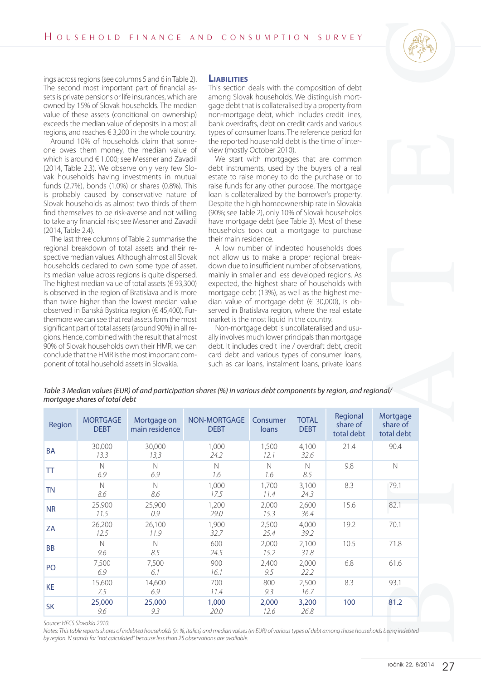#### **Liabilities**



|                                                                          |                                                                 |                                                                                                                                                                                                                                                                                                                                                                                                                                                                                                                                                                                                                                                                                                                                                                                                                                                                                                                                                                                                                                                                                                                                                                                                                                                  | HOUSEHOLD FINANCE AND CONSUMPTION SURVEY                                                                        |                                                                                                                                                                                                                                                                                                                                                                                                                                                                                                                                                                                                                                                                                                                                                                                                                                                                                                                                                                                                                                                                                |                             |                      |                      |
|--------------------------------------------------------------------------|-----------------------------------------------------------------|--------------------------------------------------------------------------------------------------------------------------------------------------------------------------------------------------------------------------------------------------------------------------------------------------------------------------------------------------------------------------------------------------------------------------------------------------------------------------------------------------------------------------------------------------------------------------------------------------------------------------------------------------------------------------------------------------------------------------------------------------------------------------------------------------------------------------------------------------------------------------------------------------------------------------------------------------------------------------------------------------------------------------------------------------------------------------------------------------------------------------------------------------------------------------------------------------------------------------------------------------|-----------------------------------------------------------------------------------------------------------------|--------------------------------------------------------------------------------------------------------------------------------------------------------------------------------------------------------------------------------------------------------------------------------------------------------------------------------------------------------------------------------------------------------------------------------------------------------------------------------------------------------------------------------------------------------------------------------------------------------------------------------------------------------------------------------------------------------------------------------------------------------------------------------------------------------------------------------------------------------------------------------------------------------------------------------------------------------------------------------------------------------------------------------------------------------------------------------|-----------------------------|----------------------|----------------------|
| (2014, Table 2.4).                                                       |                                                                 | ings across regions (see columns 5 and 6 in Table 2).<br>The second most important part of financial as-<br>sets is private pensions or life insurances, which are<br>owned by 15% of Slovak households. The median<br>value of these assets (conditional on ownership)<br>exceeds the median value of deposits in almost all<br>regions, and reaches $\in$ 3,200 in the whole country.<br>Around 10% of households claim that some-<br>one owes them money, the median value of<br>which is around $\in$ 1,000; see Messner and Zavadil<br>(2014, Table 2.3). We observe only very few Slo-<br>vak households having investments in mutual<br>funds (2.7%), bonds (1.0%) or shares (0.8%). This<br>is probably caused by conservative nature of<br>Slovak households as almost two thirds of them<br>find themselves to be risk-averse and not willing<br>to take any financial risk; see Messner and Zavadil<br>The last three columns of Table 2 summarise the<br>regional breakdown of total assets and their re-<br>spective median values. Although almost all Slovak<br>households declared to own some type of asset,<br>its median value across regions is quite dispersed.<br>The highest median value of total assets ( $\in$ 93,300) | <b>LIABILITIES</b><br>their main residence.<br>expected, the highest share of households with                   | This section deals with the composition of debt<br>among Slovak households. We distinguish mort-<br>gage debt that is collateralised by a property from<br>non-mortgage debt, which includes credit lines,<br>bank overdrafts, debt on credit cards and various<br>types of consumer loans. The reference period for<br>the reported household debt is the time of inter-<br>view (mostly October 2010).<br>We start with mortgages that are common<br>debt instruments, used by the buyers of a real<br>estate to raise money to do the purchase or to<br>raise funds for any other purpose. The mortgage<br>loan is collateralized by the borrower's property.<br>Despite the high homeownership rate in Slovakia<br>(90%; see Table 2), only 10% of Slovak households<br>have mortgage debt (see Table 3). Most of these<br>households took out a mortgage to purchase<br>A low number of indebted households does<br>not allow us to make a proper regional break-<br>down due to insufficient number of observations,<br>mainly in smaller and less developed regions. As |                             |                      |                      |
|                                                                          |                                                                 | is observed in the region of Bratislava and is more<br>than twice higher than the lowest median value<br>observed in Banská Bystrica region (€ 45,400). Fur-<br>thermore we can see that real assets form the most<br>significant part of total assets (around 90%) in all re-<br>gions. Hence, combined with the result that almost<br>90% of Slovak households own their HMR, we can<br>conclude that the HMR is the most important com-<br>ponent of total household assets in Slovakia.                                                                                                                                                                                                                                                                                                                                                                                                                                                                                                                                                                                                                                                                                                                                                      | Table 3 Median values (EUR) of and participation shares (%) in various debt components by region, and regional/ | mortgage debt (13%), as well as the highest me-<br>dian value of mortgage debt (€ 30,000), is ob-<br>served in Bratislava region, where the real estate<br>market is the most liquid in the country.<br>Non-mortgage debt is uncollateralised and usu-<br>ally involves much lower principals than mortgage<br>debt. It includes credit line / overdraft debt, credit<br>card debt and various types of consumer loans,<br>such as car loans, instalment loans, private loans                                                                                                                                                                                                                                                                                                                                                                                                                                                                                                                                                                                                  |                             |                      |                      |
| Region                                                                   | mortgage shares of total debt<br><b>MORTGAGE</b><br><b>DEBT</b> | Mortgage on<br>main residence                                                                                                                                                                                                                                                                                                                                                                                                                                                                                                                                                                                                                                                                                                                                                                                                                                                                                                                                                                                                                                                                                                                                                                                                                    | NON-MORTGAGE<br><b>DEBT</b>                                                                                     | Consumer<br>loans                                                                                                                                                                                                                                                                                                                                                                                                                                                                                                                                                                                                                                                                                                                                                                                                                                                                                                                                                                                                                                                              | <b>TOTAL</b><br><b>DEBT</b> | Regional<br>share of | Mortgage<br>share of |
|                                                                          | 30,000                                                          | 30,000                                                                                                                                                                                                                                                                                                                                                                                                                                                                                                                                                                                                                                                                                                                                                                                                                                                                                                                                                                                                                                                                                                                                                                                                                                           | 1,000                                                                                                           | 1,500                                                                                                                                                                                                                                                                                                                                                                                                                                                                                                                                                                                                                                                                                                                                                                                                                                                                                                                                                                                                                                                                          | 4,100                       | total debt<br>21.4   | total debt<br>90.4   |
|                                                                          | 13.3<br>$\mathbb N$                                             | 13,3<br>$\mathbb N$                                                                                                                                                                                                                                                                                                                                                                                                                                                                                                                                                                                                                                                                                                                                                                                                                                                                                                                                                                                                                                                                                                                                                                                                                              | 24.2<br>$\mathbb N$                                                                                             | 12.1<br>$\hbox{N}$                                                                                                                                                                                                                                                                                                                                                                                                                                                                                                                                                                                                                                                                                                                                                                                                                                                                                                                                                                                                                                                             | 32.6<br>$\mathbb N$         | 9.8                  | $\hbox{N}$           |
|                                                                          | 6.9                                                             | 6.9                                                                                                                                                                                                                                                                                                                                                                                                                                                                                                                                                                                                                                                                                                                                                                                                                                                                                                                                                                                                                                                                                                                                                                                                                                              | 1.6                                                                                                             | 1.6                                                                                                                                                                                                                                                                                                                                                                                                                                                                                                                                                                                                                                                                                                                                                                                                                                                                                                                                                                                                                                                                            | 8.5                         |                      |                      |
|                                                                          | $\mathbb N$<br>8.6                                              | $\hbox{N}$<br>8.6                                                                                                                                                                                                                                                                                                                                                                                                                                                                                                                                                                                                                                                                                                                                                                                                                                                                                                                                                                                                                                                                                                                                                                                                                                | 1,000<br>17.5                                                                                                   | 1,700<br>11.4                                                                                                                                                                                                                                                                                                                                                                                                                                                                                                                                                                                                                                                                                                                                                                                                                                                                                                                                                                                                                                                                  | 3,100<br>24.3               | 8.3                  | 79.1                 |
|                                                                          | 25,900<br>11.5                                                  | 25,900<br>0.9                                                                                                                                                                                                                                                                                                                                                                                                                                                                                                                                                                                                                                                                                                                                                                                                                                                                                                                                                                                                                                                                                                                                                                                                                                    | 1,200<br>29.0                                                                                                   | 2,000<br>15.3                                                                                                                                                                                                                                                                                                                                                                                                                                                                                                                                                                                                                                                                                                                                                                                                                                                                                                                                                                                                                                                                  | 2,600<br>36.4               | 15.6                 | 82.1                 |
|                                                                          | 26,200                                                          | 26,100                                                                                                                                                                                                                                                                                                                                                                                                                                                                                                                                                                                                                                                                                                                                                                                                                                                                                                                                                                                                                                                                                                                                                                                                                                           | 1,900                                                                                                           | 2,500                                                                                                                                                                                                                                                                                                                                                                                                                                                                                                                                                                                                                                                                                                                                                                                                                                                                                                                                                                                                                                                                          | 4,000                       | 19.2                 | 70.1                 |
|                                                                          | 12.5<br>$\mathbb N$                                             | 11.9<br>$\mathsf{N}$                                                                                                                                                                                                                                                                                                                                                                                                                                                                                                                                                                                                                                                                                                                                                                                                                                                                                                                                                                                                                                                                                                                                                                                                                             | 32.7<br>600                                                                                                     | 25.4<br>2,000                                                                                                                                                                                                                                                                                                                                                                                                                                                                                                                                                                                                                                                                                                                                                                                                                                                                                                                                                                                                                                                                  | 39.2<br>2,100               | 10.5                 | 71.8                 |
|                                                                          | 9.6<br>7,500                                                    | 8.5<br>7,500                                                                                                                                                                                                                                                                                                                                                                                                                                                                                                                                                                                                                                                                                                                                                                                                                                                                                                                                                                                                                                                                                                                                                                                                                                     | 24.5<br>900                                                                                                     | 15.2<br>2,400                                                                                                                                                                                                                                                                                                                                                                                                                                                                                                                                                                                                                                                                                                                                                                                                                                                                                                                                                                                                                                                                  | 31.8<br>2,000               | 6.8                  | 61.6                 |
|                                                                          | 6.9                                                             | 6.1                                                                                                                                                                                                                                                                                                                                                                                                                                                                                                                                                                                                                                                                                                                                                                                                                                                                                                                                                                                                                                                                                                                                                                                                                                              | 16.1                                                                                                            | 9.5                                                                                                                                                                                                                                                                                                                                                                                                                                                                                                                                                                                                                                                                                                                                                                                                                                                                                                                                                                                                                                                                            | 22.2                        |                      |                      |
| <b>BA</b><br>TT<br><b>TN</b><br><b>NR</b><br>ZA<br><b>BB</b><br>PO<br>KE | 15,600<br>7.5<br>25,000                                         | 14,600<br>6.9<br>25,000                                                                                                                                                                                                                                                                                                                                                                                                                                                                                                                                                                                                                                                                                                                                                                                                                                                                                                                                                                                                                                                                                                                                                                                                                          | 700<br>11.4<br>1,000                                                                                            | 800<br>9.3<br>2,000                                                                                                                                                                                                                                                                                                                                                                                                                                                                                                                                                                                                                                                                                                                                                                                                                                                                                                                                                                                                                                                            | 2,500<br>16.7<br>3,200      | 8.3<br>100           | 93.1<br>81.2         |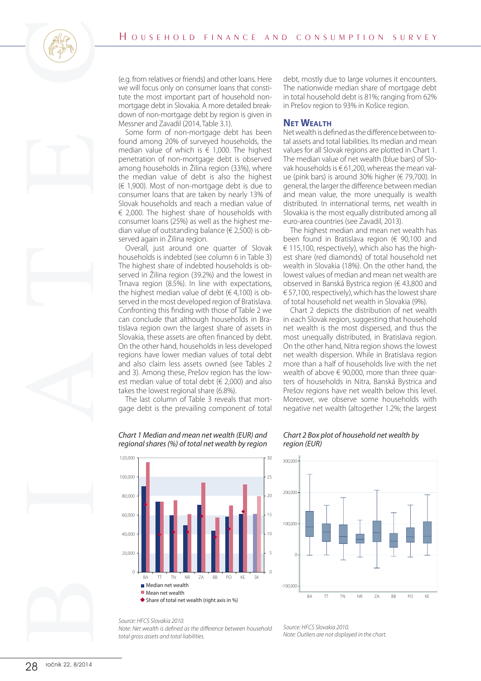

(e.g. from relatives or friends) and other loans. Here we will focus only on consumer loans that constitute the most important part of household nonmortgage debt in Slovakia. A more detailed breakdown of non-mortgage debt by region is given in Messner and Zavadil (2014, Table 3.1).

Some form of non-mortgage debt has been found among 20% of surveyed households, the median value of which is  $\epsilon$  1,000. The highest penetration of non-mortgage debt is observed among households in Žilina region (33%), where the median value of debt is also the highest (€ 1,900). Most of non-mortgage debt is due to consumer loans that are taken by nearly 13% of Slovak households and reach a median value of  $\epsilon$  2,000. The highest share of households with consumer loans (25%) as well as the highest median value of outstanding balance ( $\in$  2,500) is observed again in Žilina region.

Overall, just around one quarter of Slovak households is indebted (see column 6 in Table 3) The highest share of indebted households is observed in Žilina region (39.2%) and the lowest in Trnava region (8.5%). In line with expectations, the highest median value of debt ( $\in$  4,100) is observed in the most developed region of Bratislava. Confronting this finding with those of Table 2 we can conclude that although households in Bratislava region own the largest share of assets in Slovakia, these assets are often financed by debt. On the other hand, households in less developed regions have lower median values of total debt and also claim less assets owned (see Tables 2 and 3). Among these, Prešov region has the lowest median value of total debt ( $\in$  2,000) and also takes the lowest regional share (6.8%).

The last column of Table 3 reveals that mortgage debt is the prevailing component of total

debt, mostly due to large volumes it encounters. The nationwide median share of mortgage debt in total household debt is 81%; ranging from 62% in Prešov region to 93% in Košice region.

#### **NET WEALTH**

Net wealth is defined as the difference between total assets and total liabilities. Its median and mean values for all Slovak regions are plotted in Chart 1. The median value of net wealth (blue bars) of Slovak households is € 61,200, whereas the mean value (pink bars) is around 30% higher (€ 79,700). In general, the larger the difference between median and mean value, the more unequally is wealth distributed. In international terms, net wealth in Slovakia is the most equally distributed among all euro-area countries (see Zavadil, 2013).

The highest median and mean net wealth has been found in Bratislava region (€ 90,100 and € 115,100, respectively), which also has the highest share (red diamonds) of total household net wealth in Slovakia (18%). On the other hand, the lowest values of median and mean net wealth are observed in Banská Bystrica region (€ 43,800 and € 57,100, respectively), which has the lowest share of total household net wealth in Slovakia (9%).

Chart 2 depicts the distribution of net wealth in each Slovak region, suggesting that household net wealth is the most dispersed, and thus the most unequally distributed, in Bratislava region. On the other hand, Nitra region shows the lowest net wealth dispersion. While in Bratislava region more than a half of households live with the net wealth of above  $\in$  90,000, more than three quarters of households in Nitra, Banská Bystrica and Prešov regions have net wealth below this level. Moreover, we observe some households with negative net wealth (altogether 1.2%; the largest



#### *Chart 2 Box plot of household net wealth by region (EUR)*



# *Chart 1 Median and mean net wealth (EUR) and regional shares (%) of total net wealth by region*

*Source: HFCS Slovakia 2010.*

**Median net wealth** Mean net wealth

20,000

 $\overline{0}$ 

*Note: Net wealth is defined as the difference between household total gross assets and total liabilities.*

BA TT TN NR ZA BB PO KE SK

Share of total net wealth (right axis in %)

*Source: HFCS Slovakia 2010. Note: Outliers are not displayed in the chart.*

5

 $\mathsf{C}$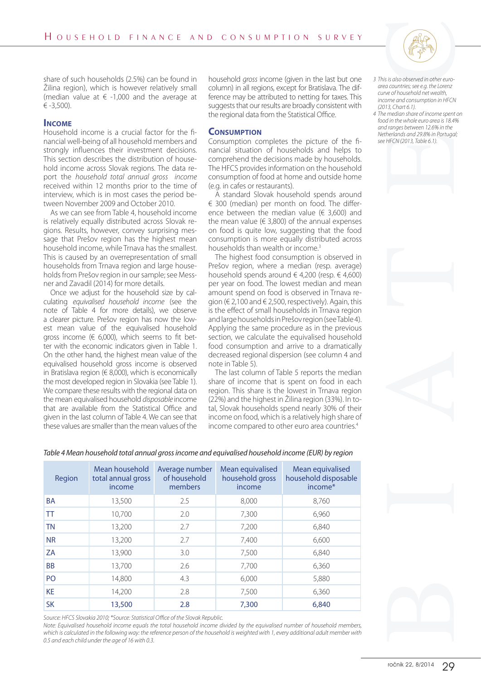

share of such households (2.5%) can be found in Žilina region), which is however relatively small (median value at  $\epsilon$  -1,000 and the average at € -3,500).

### **Income**

Household income is a crucial factor for the financial well-being of all household members and strongly influences their investment decisions. This section describes the distribution of household income across Slovak regions. The data report the *household total annual gross income* received within 12 months prior to the time of interview, which is in most cases the period between November 2009 and October 2010.

As we can see from Table 4, household income is relatively equally distributed across Slovak regions. Results, however, convey surprising message that Prešov region has the highest mean household income, while Trnava has the smallest. This is caused by an overrepresentation of small households from Trnava region and large households from Prešov region in our sample; see Messner and Zavadil (2014) for more details.

Once we adjust for the household size by calculating *equivalised household income* (see the note of Table 4 for more details), we observe a clearer picture. Prešov region has now the lowest mean value of the equivalised household gross income ( $\in$  6,000), which seems to fit better with the economic indicators given in Table 1. On the other hand, the highest mean value of the equivalised household gross income is observed in Bratislava region ( $\in$  8,000), which is economically the most developed region in Slovakia (see Table 1). We compare these results with the regional data on the mean equivalised household *disposable* income that are available from the Statistical Office and given in the last column of Table 4. We can see that these values are smaller than the mean values of the

household *gross* income (given in the last but one column) in all regions, except for Bratislava. The difference may be attributed to netting for taxes. This suggests that our results are broadly consistent with the regional data from the Statistical Office.

#### **Consumption**

Consumption completes the picture of the financial situation of households and helps to comprehend the decisions made by households. The HFCS provides information on the household consumption of food at home and outside home (e.g. in cafes or restaurants).

A standard Slovak household spends around € 300 (median) per month on food. The difference between the median value ( $\in$  3,600) and the mean value ( $\in$  3,800) of the annual expenses on food is quite low, suggesting that the food consumption is more equally distributed across households than wealth or income.<sup>3</sup>

The highest food consumption is observed in Prešov region, where a median (resp. average) household spends around  $\in$  4,200 (resp.  $\in$  4,600) per year on food. The lowest median and mean amount spend on food is observed in Trnava region ( $\in$  2,100 and  $\in$  2,500, respectively). Again, this is the effect of small households in Trnava region and large households in Prešov region (see Table 4). Applying the same procedure as in the previous section, we calculate the equivalised household food consumption and arrive to a dramatically decreased regional dispersion (see column 4 and note in Table 5).

The last column of Table 5 reports the median share of income that is spent on food in each region. This share is the lowest in Trnava region (22%) and the highest in Žilina region (33%). In total, Slovak households spend nearly 30% of their income on food, which is a relatively high share of income compared to other euro area countries.4

- *3 This is also observed in other euroarea countries; see e.g. the Lorenz curve of household net wealth, income and consumption in HFCN (2013, Chart 6.1).*
- *4 The median share of income spent on food in the whole euro area is 18.4% and ranges between 12.6% in the Netherlands and 29.8% in Portugal; see HFCN (2013, Table 6.1).*



| Region         | Mean household<br>total annual gross<br>income | Average number<br>of household<br>members | Mean equivalised<br>household gross<br>income | Mean equivalised<br>household disposable<br>income* |
|----------------|------------------------------------------------|-------------------------------------------|-----------------------------------------------|-----------------------------------------------------|
| <b>BA</b>      | 13,500                                         | 2.5                                       | 8,000                                         | 8,760                                               |
| <b>TT</b>      | 10,700                                         | 2.0                                       | 7,300                                         | 6,960                                               |
| <b>TN</b>      | 13,200                                         | 2.7                                       | 7,200                                         | 6,840                                               |
| <b>NR</b>      | 13,200                                         | 2.7                                       | 7,400                                         | 6,600                                               |
| ZA             | 13,900                                         | 3.0                                       | 7,500                                         | 6,840                                               |
| <b>BB</b>      | 13,700                                         | 2.6                                       | 7,700                                         | 6,360                                               |
| P <sub>O</sub> | 14,800                                         | 4.3                                       | 6,000                                         | 5,880                                               |
| KE             | 14,200                                         | 2.8                                       | 7,500                                         | 6,360                                               |
| <b>SK</b>      | 13,500                                         | 2.8                                       | 7,300                                         | 6,840                                               |

*Table 4 Mean household total annual gross income and equivalised household income (EUR) by region*

*Source: HFCS Slovakia 2010; \*Source: Statistical Office of the Slovak Republic.*

*Note: Equivalised household income equals the total household income divided by the equivalised number of household members,*  which is calculated in the following way: the reference person of the household is weighted with 1, every additional adult member with *0.5 and each child under the age of 16 with 0.3.*